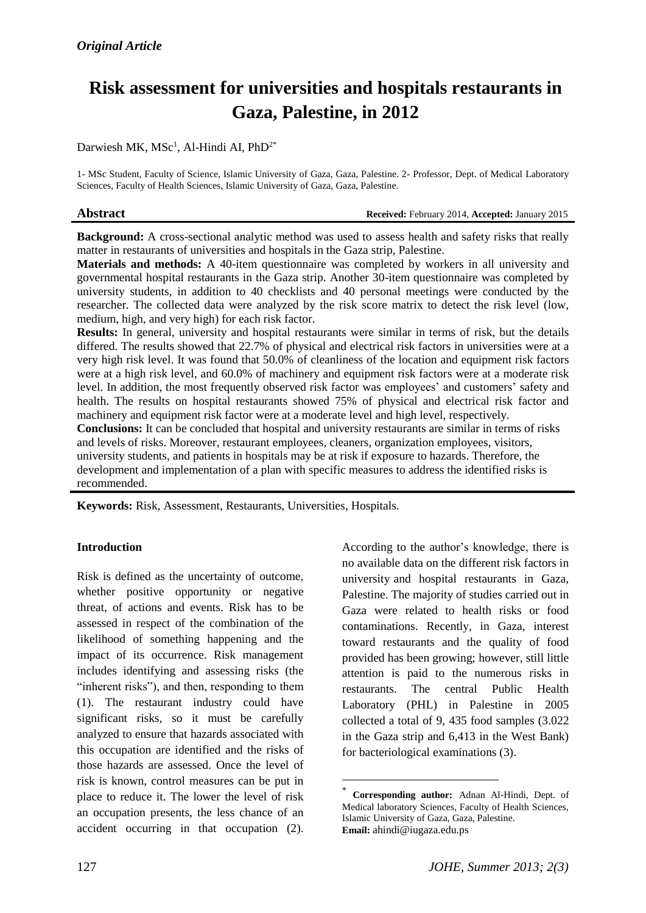# **Risk assessment for universities and hospitals restaurants in Gaza, Palestine, in 2012**

# Darwiesh MK,  $\text{MSc}^1$ , Al-Hindi AI, PhD<sup>2\*</sup>

1- MSc Student, Faculty of Science, Islamic University of Gaza, Gaza, Palestine. 2- Professor, Dept. of Medical Laboratory Sciences, Faculty of Health Sciences, Islamic University of Gaza, Gaza, Palestine.

**Abstract Received:** February 2014, **Accepted:** January 2015

**Background:** A cross-sectional analytic method was used to assess health and safety risks that really matter in restaurants of universities and hospitals in the Gaza strip, Palestine.

**Materials and methods:** A 40-item questionnaire was completed by workers in all university and governmental hospital restaurants in the Gaza strip. Another 30-item questionnaire was completed by university students, in addition to 40 checklists and 40 personal meetings were conducted by the researcher. The collected data were analyzed by the risk score matrix to detect the risk level (low, medium, high, and very high) for each risk factor.

**Results:** In general, university and hospital restaurants were similar in terms of risk, but the details differed. The results showed that 22.7% of physical and electrical risk factors in universities were at a very high risk level. It was found that 50.0% of cleanliness of the location and equipment risk factors were at a high risk level, and 60.0% of machinery and equipment risk factors were at a moderate risk level. In addition, the most frequently observed risk factor was employees' and customers' safety and health. The results on hospital restaurants showed 75% of physical and electrical risk factor and machinery and equipment risk factor were at a moderate level and high level, respectively.

**Conclusions:** It can be concluded that hospital and university restaurants are similar in terms of risks and levels of risks. Moreover, restaurant employees, cleaners, organization employees, visitors, university students, and patients in hospitals may be at risk if exposure to hazards. Therefore, the development and implementation of a plan with specific measures to address the identified risks is recommended.

1

**Keywords:** Risk, Assessment, Restaurants, Universities, Hospitals.

### **Introduction**

Risk is defined as the uncertainty of outcome, whether positive opportunity or negative threat, of actions and events. Risk has to be assessed in respect of the combination of the likelihood of something happening and the impact of its occurrence. Risk management includes identifying and assessing risks (the "inherent risks"), and then, responding to them (1). The restaurant industry could have significant risks, so it must be carefully analyzed to ensure that hazards associated with this occupation are identified and the risks of those hazards are assessed. Once the level of risk is known, control measures can be put in place to reduce it. The lower the level of risk an occupation presents, the less chance of an accident occurring in that occupation (2).

According to the author's knowledge, there is no available data on the different risk factors in university and hospital restaurants in Gaza, Palestine. The majority of studies carried out in Gaza were related to health risks or food contaminations. Recently, in Gaza, interest toward restaurants and the quality of food provided has been growing; however, still little attention is paid to the numerous risks in restaurants. The central Public Health Laboratory (PHL) in Palestine in 2005 collected a total of 9, 435 food samples (3.022 in the Gaza strip and 6,413 in the West Bank) for bacteriological examinations (3).

<sup>\*</sup> **Corresponding author:** Adnan Al-Hindi, Dept. of Medical laboratory Sciences, Faculty of Health Sciences, Islamic University of Gaza, Gaza, Palestine. **Email:** [ahindi@iugaza.edu.ps](mailto:ahindi@iugaza.edu.ps)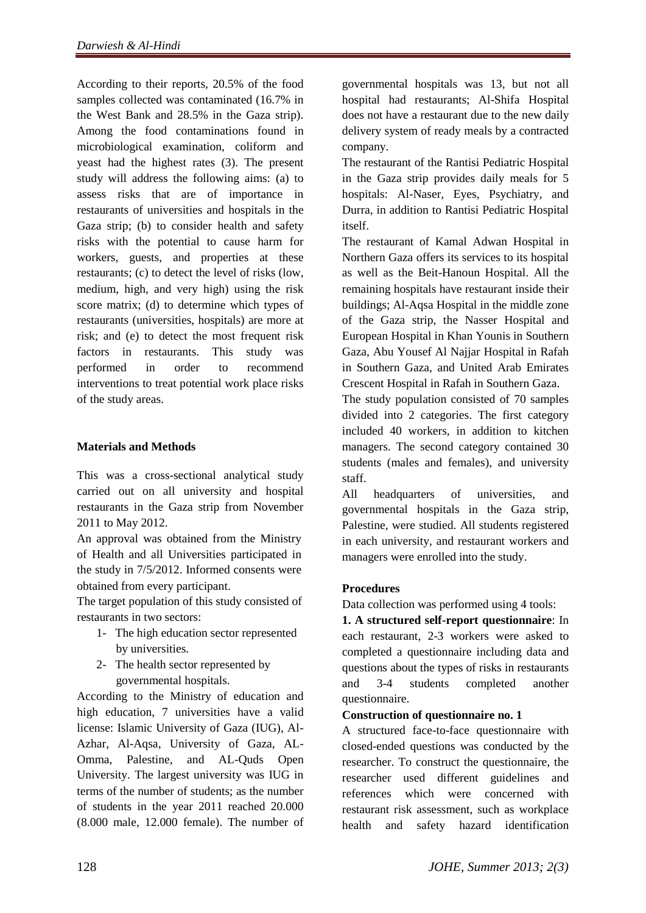According to their reports, 20.5% of the food samples collected was contaminated (16.7% in the West Bank and 28.5% in the Gaza strip). Among the food contaminations found in microbiological examination, coliform and yeast had the highest rates (3). The present study will address the following aims: (a) to assess risks that are of importance in restaurants of universities and hospitals in the Gaza strip; (b) to consider health and safety risks with the potential to cause harm for workers, guests, and properties at these restaurants; (c) to detect the level of risks (low, medium, high, and very high) using the risk score matrix; (d) to determine which types of restaurants (universities, hospitals) are more at risk; and (e) to detect the most frequent risk factors in restaurants. This study was performed in order to recommend interventions to treat potential work place risks of the study areas.

# **Materials and Methods**

This was a cross-sectional analytical study carried out on all university and hospital restaurants in the Gaza strip from November 2011 to May 2012.

An approval was obtained from the Ministry of Health and all Universities participated in the study in 7/5/2012. Informed consents were obtained from every participant.

The target population of this study consisted of restaurants in two sectors:

- 1- The high education sector represented by universities.
- 2- The health sector represented by governmental hospitals.

According to the Ministry of education and high education, 7 universities have a valid license: Islamic University of Gaza (IUG), Al-Azhar, Al-Aqsa, University of Gaza, AL-Omma, Palestine, and AL-Quds Open University. The largest university was IUG in terms of the number of students; as the number of students in the year 2011 reached 20.000 (8.000 male, 12.000 female). The number of governmental hospitals was 13, but not all hospital had restaurants; Al-Shifa Hospital does not have a restaurant due to the new daily delivery system of ready meals by a contracted company.

The restaurant of the Rantisi Pediatric Hospital in the Gaza strip provides daily meals for 5 hospitals: Al-Naser, Eyes, Psychiatry, and Durra, in addition to Rantisi Pediatric Hospital itself.

The restaurant of Kamal Adwan Hospital in Northern Gaza offers its services to its hospital as well as the Beit-Hanoun Hospital. All the remaining hospitals have restaurant inside their buildings; Al-Aqsa Hospital in the middle zone of the Gaza strip, the Nasser Hospital and European Hospital in Khan Younis in Southern Gaza, Abu Yousef Al Najjar Hospital in Rafah in Southern Gaza, and United Arab Emirates Crescent Hospital in Rafah in Southern Gaza.

The study population consisted of 70 samples divided into 2 categories. The first category included 40 workers, in addition to kitchen managers. The second category contained 30 students (males and females), and university staff.

All headquarters of universities, and governmental hospitals in the Gaza strip, Palestine, were studied. All students registered in each university, and restaurant workers and managers were enrolled into the study.

# **Procedures**

Data collection was performed using 4 tools:

**1. A structured self-report questionnaire**: In each restaurant, 2-3 workers were asked to completed a questionnaire including data and questions about the types of risks in restaurants and 3-4 students completed another questionnaire.

### **Construction of questionnaire no. 1**

A structured face-to-face questionnaire with closed-ended questions was conducted by the researcher. To construct the questionnaire, the researcher used different guidelines and references which were concerned with restaurant risk assessment, such as workplace health and safety hazard identification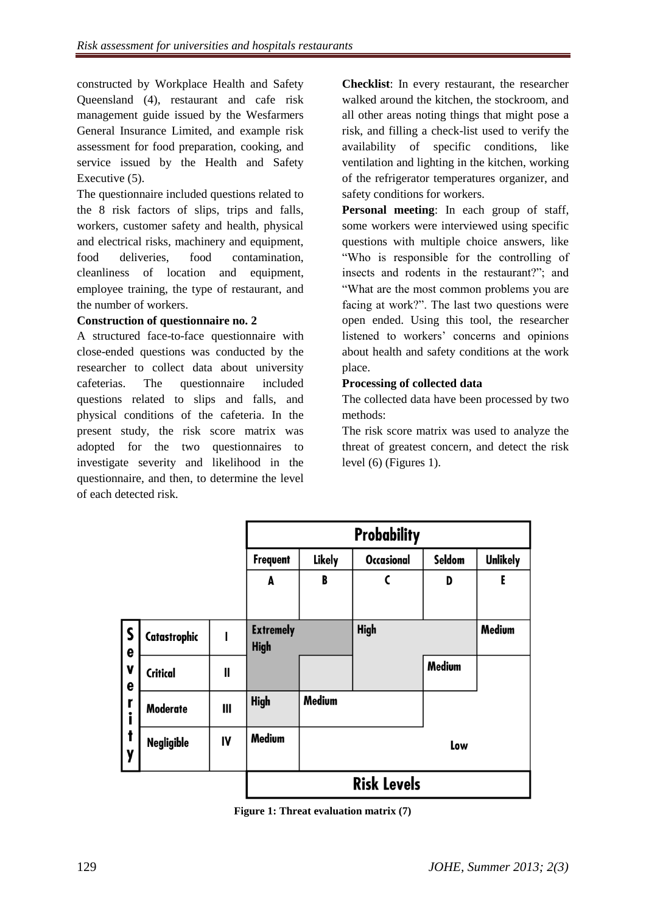constructed by Workplace Health and Safety Queensland (4), restaurant and cafe risk management guide issued by the Wesfarmers General Insurance Limited, and example risk assessment for food preparation, cooking, and service issued by the Health and Safety Executive (5).

The questionnaire included questions related to the 8 risk factors of slips, trips and falls, workers, customer safety and health, physical and electrical risks, machinery and equipment, food deliveries, food contamination, cleanliness of location and equipment, employee training, the type of restaurant, and the number of workers.

# **Construction of questionnaire no. 2**

A structured face-to-face questionnaire with close-ended questions was conducted by the researcher to collect data about university cafeterias. The questionnaire included questions related to slips and falls, and physical conditions of the cafeteria. In the present study, the risk score matrix was adopted for the two questionnaires to investigate severity and likelihood in the questionnaire, and then, to determine the level of each detected risk.

**Checklist**: In every restaurant, the researcher walked around the kitchen, the stockroom, and all other areas noting things that might pose a risk, and filling a check-list used to verify the availability of specific conditions, like ventilation and lighting in the kitchen, working of the refrigerator temperatures organizer, and safety conditions for workers.

**Personal meeting**: In each group of staff, some workers were interviewed using specific questions with multiple choice answers, like "Who is responsible for the controlling of insects and rodents in the restaurant?"; and "What are the most common problems you are facing at work?". The last two questions were open ended. Using this tool, the researcher listened to workers' concerns and opinions about health and safety conditions at the work place.

### **Processing of collected data**

The collected data have been processed by two methods:

The risk score matrix was used to analyze the threat of greatest concern, and detect the risk level (6) (Figures 1).

|                             |                   |                | <b>Probability</b>              |                                                                 |              |               |               |  |
|-----------------------------|-------------------|----------------|---------------------------------|-----------------------------------------------------------------|--------------|---------------|---------------|--|
|                             |                   |                | <b>Frequent</b>                 | <b>Unlikely</b><br>Seldom<br><b>Likely</b><br><b>Occasional</b> |              |               |               |  |
|                             |                   |                | A                               | B                                                               | $\mathsf{C}$ | D             | E             |  |
|                             | Catastrophic      |                | <b>Extremely</b><br><b>High</b> |                                                                 | <b>High</b>  |               | <b>Medium</b> |  |
|                             | <b>Critical</b>   | $\mathbf I$    |                                 |                                                                 |              | <b>Medium</b> |               |  |
|                             | Moderate          | $\mathbf{III}$ | <b>High</b>                     | <b>Medium</b>                                                   |              |               |               |  |
| S<br>  e v e r<br>  f i t y | <b>Negligible</b> | IV             | <b>Medium</b>                   |                                                                 |              | Low           |               |  |
|                             |                   |                | <b>Risk Levels</b>              |                                                                 |              |               |               |  |

**Figure 1: Threat evaluation matrix (7)**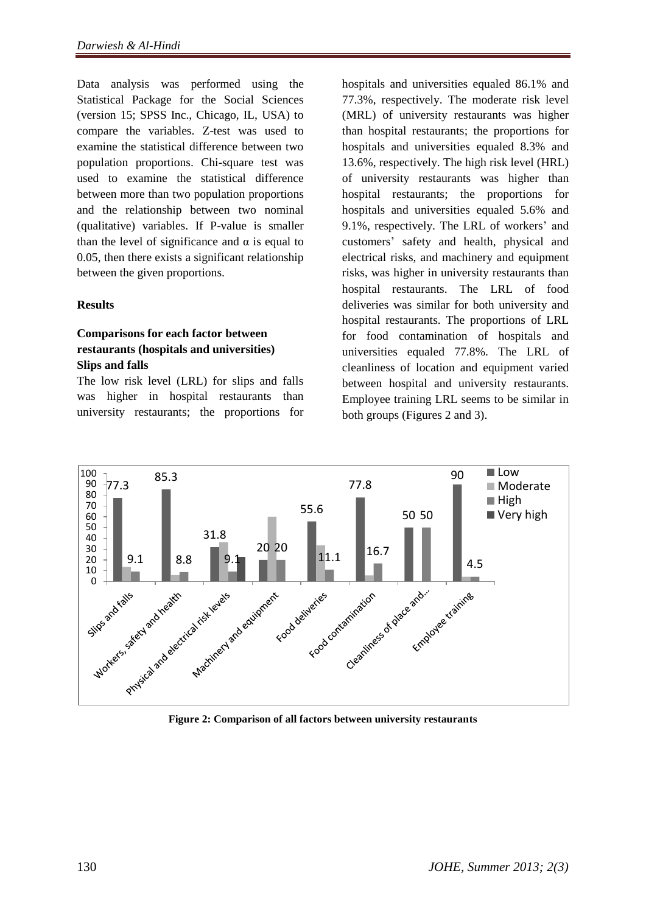Data analysis was performed using the Statistical Package for the Social Sciences (version 15; SPSS Inc., Chicago, IL, USA) to compare the variables. Z-test was used to examine the statistical difference between two population proportions. Chi-square test was used to examine the statistical difference between more than two population proportions and the relationship between two nominal (qualitative) variables. If P-value is smaller than the level of significance and  $α$  is equal to 0.05, then there exists a significant relationship between the given proportions.

### **Results**

# **Comparisons for each factor between restaurants (hospitals and universities) Slips and falls**

The low risk level (LRL) for slips and falls was higher in hospital restaurants than university restaurants; the proportions for hospitals and universities equaled 86.1% and 77.3%, respectively. The moderate risk level (MRL) of university restaurants was higher than hospital restaurants; the proportions for hospitals and universities equaled 8.3% and 13.6%, respectively. The high risk level (HRL) of university restaurants was higher than hospital restaurants; the proportions for hospitals and universities equaled 5.6% and 9.1%, respectively. The LRL of workers' and customers' safety and health, physical and electrical risks, and machinery and equipment risks, was higher in university restaurants than hospital restaurants. The LRL of food deliveries was similar for both university and hospital restaurants. The proportions of LRL for food contamination of hospitals and universities equaled 77.8%. The LRL of cleanliness of location and equipment varied between hospital and university restaurants. Employee training LRL seems to be similar in both groups (Figures 2 and 3).



**Figure 2: Comparison of all factors between university restaurants**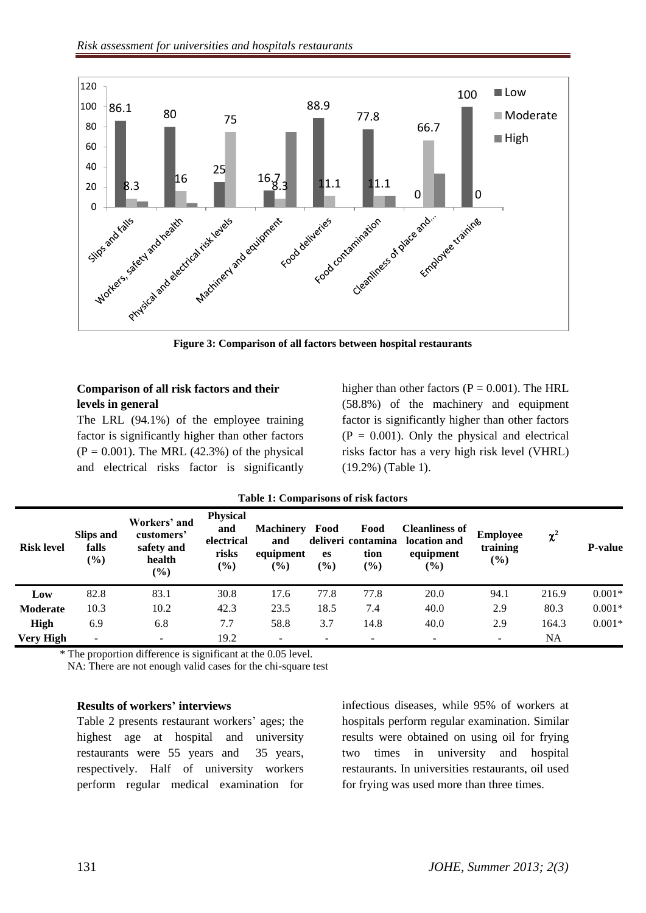

**Figure 3: Comparison of all factors between hospital restaurants**

# **Comparison of all risk factors and their levels in general**

The LRL (94.1%) of the employee training factor is significantly higher than other factors  $(P = 0.001)$ . The MRL (42.3%) of the physical and electrical risks factor is significantly higher than other factors ( $P = 0.001$ ). The HRL (58.8%) of the machinery and equipment factor is significantly higher than other factors  $(P = 0.001)$ . Only the physical and electrical risks factor has a very high risk level (VHRL) (19.2%) (Table 1).

| <b>Risk level</b> | Slips and<br>falls<br>$(\%)$ | Workers' and<br>customers'<br>safety and<br>health<br>$(\%)$ | <b>Physical</b><br>and<br>electrical<br>risks<br>$(\%)$ | <b>Machinery</b><br>and<br>equipment<br>$\frac{6}{6}$ | Food<br>es<br>$(\%)$ | Food<br>deliveri contamina<br>tion<br>(%) | <b>Cleanliness of</b><br>location and<br>equipment<br>$\frac{6}{6}$ | <b>Employee</b><br>training<br>$(\%)$ | $\chi^2$  | <b>P-value</b> |
|-------------------|------------------------------|--------------------------------------------------------------|---------------------------------------------------------|-------------------------------------------------------|----------------------|-------------------------------------------|---------------------------------------------------------------------|---------------------------------------|-----------|----------------|
| Low               | 82.8                         | 83.1                                                         | 30.8                                                    | 17.6                                                  | 77.8                 | 77.8                                      | 20.0                                                                | 94.1                                  | 216.9     | $0.001*$       |
| Moderate          | 10.3                         | 10.2                                                         | 42.3                                                    | 23.5                                                  | 18.5                 | 7.4                                       | 40.0                                                                | 2.9                                   | 80.3      | $0.001*$       |
| High              | 6.9                          | 6.8                                                          | 7.7                                                     | 58.8                                                  | 3.7                  | 14.8                                      | 40.0                                                                | 2.9                                   | 164.3     | $0.001*$       |
| <b>Very High</b>  |                              |                                                              | 19.2                                                    | $\overline{\phantom{a}}$                              |                      |                                           | $\overline{\phantom{0}}$                                            | $\qquad \qquad \blacksquare$          | <b>NA</b> |                |

### **Table 1: Comparisons of risk factors**

\* The proportion difference is significant at the 0.05 level.

NA: There are not enough valid cases for the chi-square test

# **Results of workers' interviews**

Table 2 presents restaurant workers' ages; the highest age at hospital and university restaurants were 55 years and 35 years, respectively. Half of university workers perform regular medical examination for

infectious diseases, while 95% of workers at hospitals perform regular examination. Similar results were obtained on using oil for frying two times in university and hospital restaurants. In universities restaurants, oil used for frying was used more than three times.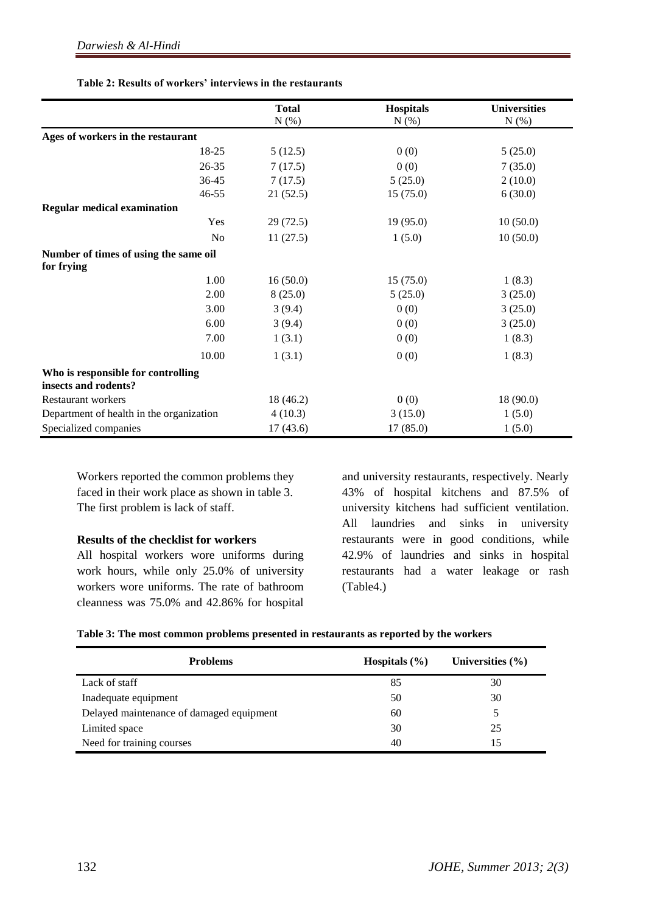|                                                            | <b>Total</b> | <b>Hospitals</b> | <b>Universities</b> |
|------------------------------------------------------------|--------------|------------------|---------------------|
|                                                            | $N$ (%)      | $N$ $(\%)$       | $N(\%)$             |
| Ages of workers in the restaurant                          |              |                  |                     |
| 18-25                                                      | 5(12.5)      | 0(0)             | 5(25.0)             |
| $26 - 35$                                                  | 7(17.5)      | 0(0)             | 7(35.0)             |
| 36-45                                                      | 7(17.5)      | 5(25.0)          | 2(10.0)             |
| $46 - 55$                                                  | 21(52.5)     | 15(75.0)         | 6(30.0)             |
| <b>Regular medical examination</b>                         |              |                  |                     |
| Yes                                                        | 29(72.5)     | 19(95.0)         | 10(50.0)            |
| N <sub>o</sub>                                             | 11(27.5)     | 1(5.0)           | 10(50.0)            |
| Number of times of using the same oil<br>for frying        |              |                  |                     |
| 1.00                                                       | 16(50.0)     | 15(75.0)         | 1(8.3)              |
| 2.00                                                       | 8(25.0)      | 5(25.0)          | 3(25.0)             |
| 3.00                                                       | 3(9.4)       | 0(0)             | 3(25.0)             |
| 6.00                                                       | 3(9.4)       | 0(0)             | 3(25.0)             |
| 7.00                                                       | 1(3.1)       | 0(0)             | 1(8.3)              |
| 10.00                                                      | 1(3.1)       | 0(0)             | 1(8.3)              |
| Who is responsible for controlling<br>insects and rodents? |              |                  |                     |
| <b>Restaurant workers</b>                                  | 18 (46.2)    | 0(0)             | 18 (90.0)           |
| Department of health in the organization                   | 4(10.3)      | 3(15.0)          | 1(5.0)              |
| Specialized companies                                      | 17(43.6)     | 17(85.0)         | 1(5.0)              |

Workers reported the common problems they faced in their work place as shown in table 3. The first problem is lack of staff.

#### **Results of the checklist for workers**

All hospital workers wore uniforms during work hours, while only 25.0% of university workers wore uniforms. The rate of bathroom cleanness was 75.0% and 42.86% for hospital

and university restaurants, respectively. Nearly 43% of hospital kitchens and 87.5% of university kitchens had sufficient ventilation. All laundries and sinks in university restaurants were in good conditions, while 42.9% of laundries and sinks in hospital restaurants had a water leakage or rash (Table4.)

| Table 3: The most common problems presented in restaurants as reported by the workers |  |  |  |
|---------------------------------------------------------------------------------------|--|--|--|
|---------------------------------------------------------------------------------------|--|--|--|

| <b>Problems</b>                          | Hospitals $(\% )$ | Universities $(\% )$ |
|------------------------------------------|-------------------|----------------------|
| Lack of staff                            | 85                | 30                   |
| Inadequate equipment                     | 50                | 30                   |
| Delayed maintenance of damaged equipment | 60                |                      |
| Limited space                            | 30                | 25                   |
| Need for training courses                | 40                | 15                   |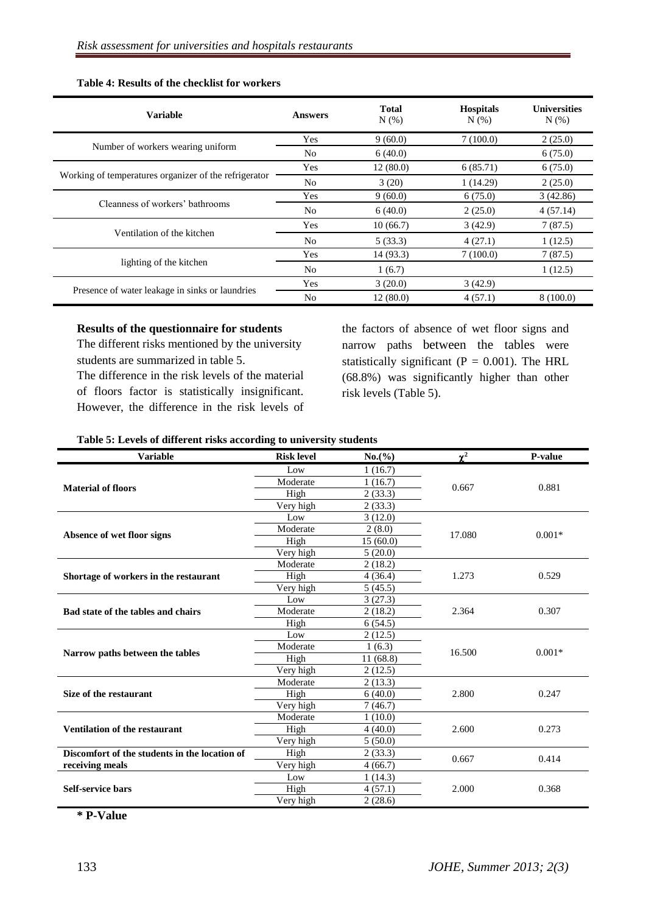| <b>Variable</b>                                       | Answers        | <b>Total</b><br>$N(\%)$ | <b>Hospitals</b><br>N(% ) | <b>Universities</b><br>N(% ) |
|-------------------------------------------------------|----------------|-------------------------|---------------------------|------------------------------|
|                                                       | <b>Yes</b>     | 9(60.0)                 | 7(100.0)                  | 2(25.0)                      |
| Number of workers wearing uniform                     | N <sub>0</sub> | 6(40.0)                 |                           | 6(75.0)                      |
|                                                       | Yes            | 12(80.0)                | 6(85.71)                  | 6(75.0)                      |
| Working of temperatures organizer of the refrigerator | N <sub>o</sub> | 3(20)                   | 1(14.29)                  | 2(25.0)                      |
|                                                       | <b>Yes</b>     | 9(60.0)                 | 6(75.0)                   | 3(42.86)                     |
| Cleanness of workers' bathrooms                       | No             | 6(40.0)                 | 2(25.0)                   | 4(57.14)                     |
| Ventilation of the kitchen                            | Yes            | 10(66.7)                | 3(42.9)                   | 7(87.5)                      |
|                                                       | No             | 5(33.3)                 | 4(27.1)                   | 1(12.5)                      |
|                                                       | Yes            | 14 (93.3)               | 7(100.0)                  | 7(87.5)                      |
| lighting of the kitchen                               | N <sub>o</sub> | 1(6.7)                  |                           | 1(12.5)                      |
| Presence of water leakage in sinks or laundries       | <b>Yes</b>     | 3(20.0)                 | 3(42.9)                   |                              |
|                                                       | No             | 12(80.0)                | 4(57.1)                   | 8(100.0)                     |

#### **Table 4: Results of the checklist for workers**

#### **Results of the questionnaire for students**

The different risks mentioned by the university students are summarized in table 5.

The difference in the risk levels of the material of floors factor is statistically insignificant. However, the difference in the risk levels of the factors of absence of wet floor signs and narrow paths between the tables were statistically significant ( $P = 0.001$ ). The HRL (68.8%) was significantly higher than other risk levels (Table 5).

#### **Table 5: Levels of different risks according to university students**

| <b>Variable</b>                               | <b>Risk level</b> | $No.$ (%) | $\chi^2$ | P-value  |
|-----------------------------------------------|-------------------|-----------|----------|----------|
|                                               | Low               | 1(16.7)   |          |          |
| <b>Material of floors</b>                     | Moderate          | 1(16.7)   | 0.667    | 0.881    |
|                                               | High              | 2(33.3)   |          |          |
|                                               | Very high         | 2(33.3)   |          |          |
|                                               | Low               | 3(12.0)   |          |          |
|                                               | Moderate          | 2(8.0)    | 17.080   | $0.001*$ |
| Absence of wet floor signs                    | High              | 15(60.0)  |          |          |
|                                               | Very high         | 5(20.0)   |          |          |
|                                               | Moderate          | 2(18.2)   |          |          |
| Shortage of workers in the restaurant         | High              | 4(36.4)   | 1.273    | 0.529    |
|                                               | Very high         | 5(45.5)   |          |          |
|                                               | Low               | 3(27.3)   |          |          |
| Bad state of the tables and chairs            | Moderate          | 2(18.2)   | 2.364    | 0.307    |
|                                               | High              | 6(54.5)   |          |          |
|                                               | Low               | 2(12.5)   | 16.500   | $0.001*$ |
| Narrow paths between the tables               | Moderate          | 1(6.3)    |          |          |
|                                               | High              | 11(68.8)  |          |          |
|                                               | Very high         | 2(12.5)   |          |          |
|                                               | Moderate          | 2(13.3)   |          |          |
| Size of the restaurant                        | High              | 6(40.0)   | 2.800    | 0.247    |
|                                               | Very high         | 7(46.7)   |          |          |
|                                               | Moderate          | 1(10.0)   |          |          |
| <b>Ventilation of the restaurant</b>          | High              | 4(40.0)   | 2.600    | 0.273    |
|                                               | Very high         | 5(50.0)   |          |          |
| Discomfort of the students in the location of | High              | 2(33.3)   | 0.667    | 0.414    |
| receiving meals                               | Very high         | 4(66.7)   |          |          |
|                                               | Low               | 1(14.3)   |          |          |
| <b>Self-service bars</b>                      | High              | 4(57.1)   | 2.000    | 0.368    |
|                                               | Very high         | 2(28.6)   |          |          |

**\* P-Value**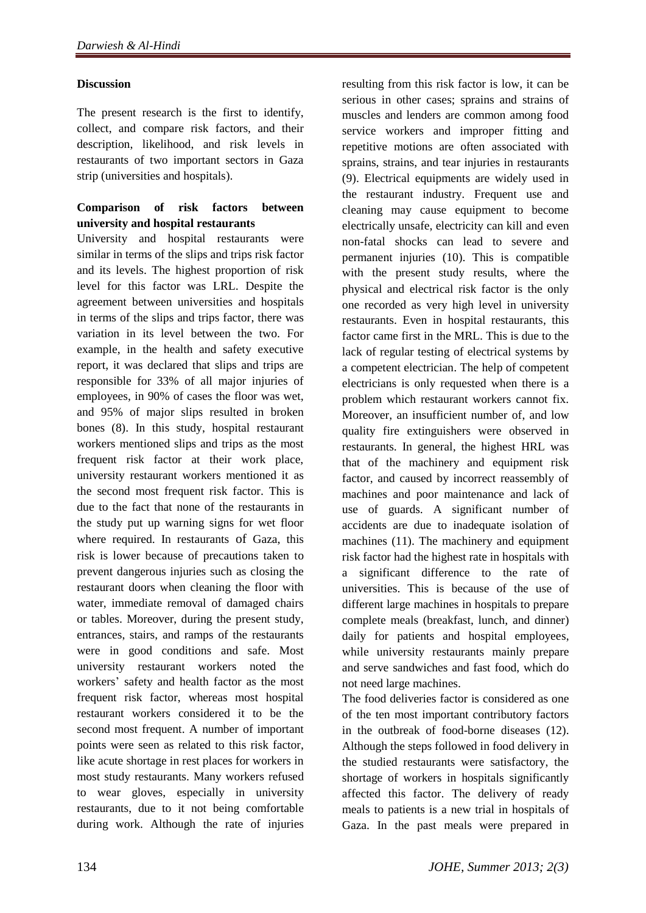# **Discussion**

The present research is the first to identify, collect, and compare risk factors, and their description, likelihood, and risk levels in restaurants of two important sectors in Gaza strip (universities and hospitals).

# **Comparison of risk factors between university and hospital restaurants**

University and hospital restaurants were similar in terms of the slips and trips risk factor and its levels. The highest proportion of risk level for this factor was LRL. Despite the agreement between universities and hospitals in terms of the slips and trips factor, there was variation in its level between the two. For example, in the health and safety executive report, it was declared that slips and trips are responsible for 33% of all major injuries of employees, in 90% of cases the floor was wet, and 95% of major slips resulted in broken bones (8). In this study, hospital restaurant workers mentioned slips and trips as the most frequent risk factor at their work place, university restaurant workers mentioned it as the second most frequent risk factor. This is due to the fact that none of the restaurants in the study put up warning signs for wet floor where required. In restaurants of Gaza, this risk is lower because of precautions taken to prevent dangerous injuries such as closing the restaurant doors when cleaning the floor with water, immediate removal of damaged chairs or tables. Moreover, during the present study, entrances, stairs, and ramps of the restaurants were in good conditions and safe. Most university restaurant workers noted the workers' safety and health factor as the most frequent risk factor, whereas most hospital restaurant workers considered it to be the second most frequent. A number of important points were seen as related to this risk factor, like acute shortage in rest places for workers in most study restaurants. Many workers refused to wear gloves, especially in university restaurants, due to it not being comfortable during work. Although the rate of injuries resulting from this risk factor is low, it can be serious in other cases; sprains and strains of muscles and lenders are common among food service workers and improper fitting and repetitive motions are often associated with sprains, strains, and tear injuries in restaurants (9). Electrical equipments are widely used in the restaurant industry. Frequent use and cleaning may cause equipment to become electrically unsafe, electricity can kill and even non-fatal shocks can lead to severe and permanent injuries (10). This is compatible with the present study results, where the physical and electrical risk factor is the only one recorded as very high level in university restaurants. Even in hospital restaurants, this factor came first in the MRL. This is due to the lack of regular testing of electrical systems by a competent electrician. The help of competent electricians is only requested when there is a problem which restaurant workers cannot fix. Moreover, an insufficient number of, and low quality fire extinguishers were observed in restaurants. In general, the highest HRL was that of the machinery and equipment risk factor, and caused by incorrect reassembly of machines and poor maintenance and lack of use of guards. A significant number of accidents are due to inadequate isolation of machines (11). The machinery and equipment risk factor had the highest rate in hospitals with a significant difference to the rate of universities. This is because of the use of different large machines in hospitals to prepare complete meals (breakfast, lunch, and dinner) daily for patients and hospital employees, while university restaurants mainly prepare and serve sandwiches and fast food, which do not need large machines.

The food deliveries factor is considered as one of the ten most important contributory factors in the outbreak of food-borne diseases (12). Although the steps followed in food delivery in the studied restaurants were satisfactory, the shortage of workers in hospitals significantly affected this factor. The delivery of ready meals to patients is a new trial in hospitals of Gaza. In the past meals were prepared in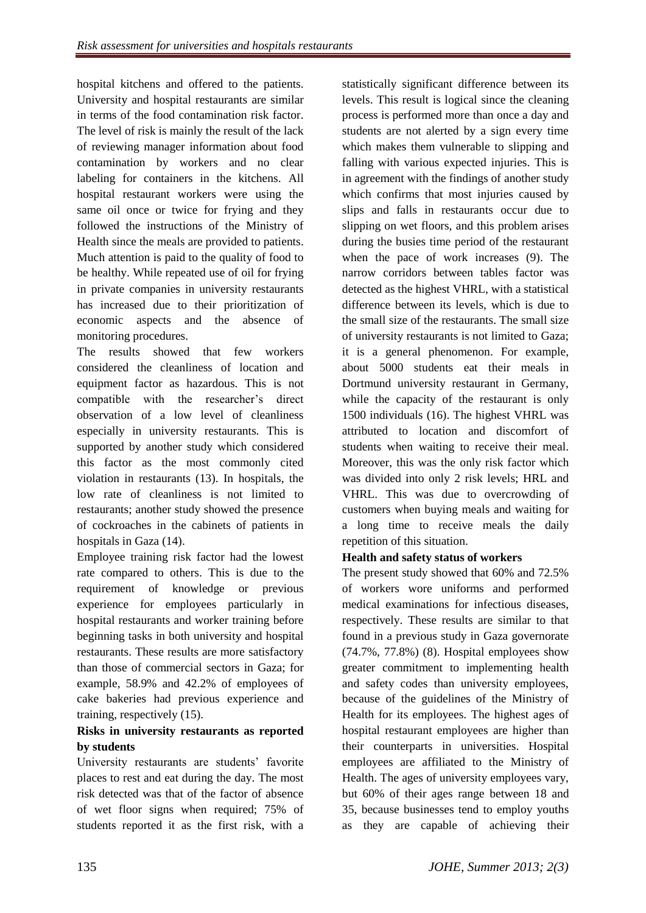hospital kitchens and offered to the patients. University and hospital restaurants are similar in terms of the food contamination risk factor. The level of risk is mainly the result of the lack of reviewing manager information about food contamination by workers and no clear labeling for containers in the kitchens. All hospital restaurant workers were using the same oil once or twice for frying and they followed the instructions of the Ministry of Health since the meals are provided to patients. Much attention is paid to the quality of food to be healthy. While repeated use of oil for frying in private companies in university restaurants has increased due to their prioritization of economic aspects and the absence of monitoring procedures.

The results showed that few workers considered the cleanliness of location and equipment factor as hazardous. This is not compatible with the researcher's direct observation of a low level of cleanliness especially in university restaurants. This is supported by another study which considered this factor as the most commonly cited violation in restaurants (13). In hospitals, the low rate of cleanliness is not limited to restaurants; another study showed the presence of cockroaches in the cabinets of patients in hospitals in Gaza (14).

Employee training risk factor had the lowest rate compared to others. This is due to the requirement of knowledge or previous experience for employees particularly in hospital restaurants and worker training before beginning tasks in both university and hospital restaurants. These results are more satisfactory than those of commercial sectors in Gaza; for example, 58.9% and 42.2% of employees of cake bakeries had previous experience and training, respectively (15).

# **Risks in university restaurants as reported by students**

University restaurants are students' favorite places to rest and eat during the day. The most risk detected was that of the factor of absence of wet floor signs when required; 75% of students reported it as the first risk, with a statistically significant difference between its levels. This result is logical since the cleaning process is performed more than once a day and students are not alerted by a sign every time which makes them vulnerable to slipping and falling with various expected injuries. This is in agreement with the findings of another study which confirms that most injuries caused by slips and falls in restaurants occur due to slipping on wet floors, and this problem arises during the busies time period of the restaurant when the pace of work increases (9). The narrow corridors between tables factor was detected as the highest VHRL, with a statistical difference between its levels, which is due to the small size of the restaurants. The small size of university restaurants is not limited to Gaza; it is a general phenomenon. For example, about 5000 students eat their meals in Dortmund university restaurant in Germany, while the capacity of the restaurant is only 1500 individuals (16). The highest VHRL was attributed to location and discomfort of students when waiting to receive their meal. Moreover, this was the only risk factor which was divided into only 2 risk levels; HRL and VHRL. This was due to overcrowding of customers when buying meals and waiting for a long time to receive meals the daily repetition of this situation.

# **Health and safety status of workers**

The present study showed that 60% and 72.5% of workers wore uniforms and performed medical examinations for infectious diseases, respectively. These results are similar to that found in a previous study in Gaza governorate (74.7%, 77.8%) (8). Hospital employees show greater commitment to implementing health and safety codes than university employees, because of the guidelines of the Ministry of Health for its employees. The highest ages of hospital restaurant employees are higher than their counterparts in universities. Hospital employees are affiliated to the Ministry of Health. The ages of university employees vary, but 60% of their ages range between 18 and 35, because businesses tend to employ youths as they are capable of achieving their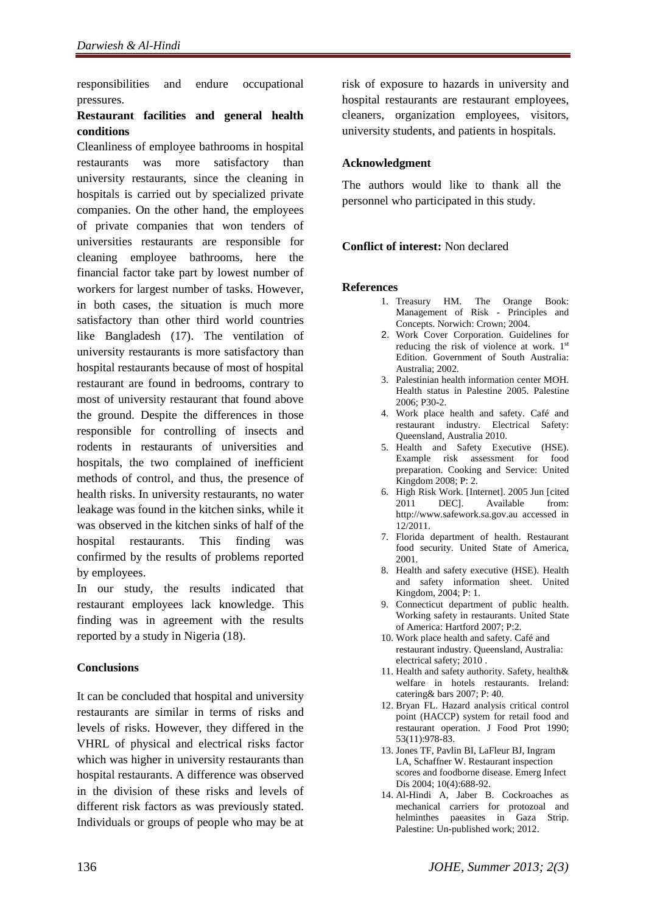responsibilities and endure occupational pressures.

## **Restaurant facilities and general health conditions**

Cleanliness of employee bathrooms in hospital restaurants was more satisfactory than university restaurants, since the cleaning in hospitals is carried out by specialized private companies. On the other hand, the employees of private companies that won tenders of universities restaurants are responsible for cleaning employee bathrooms, here the financial factor take part by lowest number of workers for largest number of tasks. However, in both cases, the situation is much more satisfactory than other third world countries like Bangladesh (17). The ventilation of university restaurants is more satisfactory than hospital restaurants because of most of hospital restaurant are found in bedrooms, contrary to most of university restaurant that found above the ground. Despite the differences in those responsible for controlling of insects and rodents in restaurants of universities and hospitals, the two complained of inefficient methods of control, and thus, the presence of health risks. In university restaurants, no water leakage was found in the kitchen sinks, while it was observed in the kitchen sinks of half of the hospital restaurants. This finding was confirmed by the results of problems reported by employees.

In our study, the results indicated that restaurant employees lack knowledge. This finding was in agreement with the results reported by a study in Nigeria (18).

# **Conclusions**

It can be concluded that hospital and university restaurants are similar in terms of risks and levels of risks. However, they differed in the VHRL of physical and electrical risks factor which was higher in university restaurants than hospital restaurants. A difference was observed in the division of these risks and levels of different risk factors as was previously stated. Individuals or groups of people who may be at risk of exposure to hazards in university and hospital restaurants are restaurant employees, cleaners, organization employees, visitors, university students, and patients in hospitals.

### **Acknowledgment**

The authors would like to thank all the personnel who participated in this study.

### **Conflict of interest:** Non declared

#### **References**

- 1. Treasury HM. The Orange Book: Management of Risk - Principles and Concepts. Norwich: Crown; 2004.
- 2. Work Cover Corporation. Guidelines for reducing the risk of violence at work. 1st Edition. Government of South Australia: Australia; 2002.
- 3. Palestinian health information center MOH. Health status in Palestine 2005. Palestine 2006; P30-2.
- 4. Work place health and safety. Café and restaurant industry. Electrical Safety: Queensland, Australia 2010.
- 5. Health and Safety Executive (HSE). Example risk assessment for food preparation. Cooking and Service: United Kingdom 2008; P: 2.
- 6. High Risk Work. [Internet]. 2005 Jun [cited 2011 DEC]. Available from: http://www.safework.sa.gov.au accessed in 12/2011.
- 7. Florida department of health. Restaurant food security. United State of America, 2001.
- 8. Health and safety executive (HSE). Health and safety information sheet. United Kingdom, 2004; P: 1.
- 9. Connecticut department of public health. Working safety in restaurants. United State of America: Hartford 2007; P:2.
- 10. Work place health and safety. Café and restaurant industry. Queensland, Australia: electrical safety; 2010 .
- 11. Health and safety authority. Safety, health& welfare in hotels restaurants. Ireland: catering& bars 2007; P: 40.
- 12. Bryan FL. Hazard analysis critical control point (HACCP) system for retail food and restaurant operation. J Food Prot 1990; 53(11):978-83.
- 13. [Jones TF,](http://www.ncbi.nlm.nih.gov/pubmed?term=Jones%20TF%5BAuthor%5D&cauthor=true&cauthor_uid=15200861) [Pavlin BI,](http://www.ncbi.nlm.nih.gov/pubmed?term=Pavlin%20BI%5BAuthor%5D&cauthor=true&cauthor_uid=15200861) [LaFleur BJ,](http://www.ncbi.nlm.nih.gov/pubmed?term=LaFleur%20BJ%5BAuthor%5D&cauthor=true&cauthor_uid=15200861) [Ingram](http://www.ncbi.nlm.nih.gov/pubmed?term=Ingram%20LA%5BAuthor%5D&cauthor=true&cauthor_uid=15200861)  [LA,](http://www.ncbi.nlm.nih.gov/pubmed?term=Ingram%20LA%5BAuthor%5D&cauthor=true&cauthor_uid=15200861) [Schaffner W.](http://www.ncbi.nlm.nih.gov/pubmed?term=Schaffner%20W%5BAuthor%5D&cauthor=true&cauthor_uid=15200861) Restaurant inspection scores and foodborne disease[. Emerg Infect](http://www.ncbi.nlm.nih.gov/pubmed/?term=%E2%80%A2%09Jones+Timothy+F.%2C+Pavlin+Boris+I.%2C+La+Fleur+Bonnie+J.%2C+Ingram+L.+Amanda.%2C+Schaffner+William.%2C+2004-+Restaurant+inspection+scores+and) [Dis](http://www.ncbi.nlm.nih.gov/pubmed/?term=%E2%80%A2%09Jones+Timothy+F.%2C+Pavlin+Boris+I.%2C+La+Fleur+Bonnie+J.%2C+Ingram+L.+Amanda.%2C+Schaffner+William.%2C+2004-+Restaurant+inspection+scores+and) 2004; 10(4):688-92.
- 14. Al-Hindi A, Jaber B. Cockroaches as mechanical carriers for protozoal and helminthes paeasites in Gaza Strip. Palestine: Un-published work; 2012.